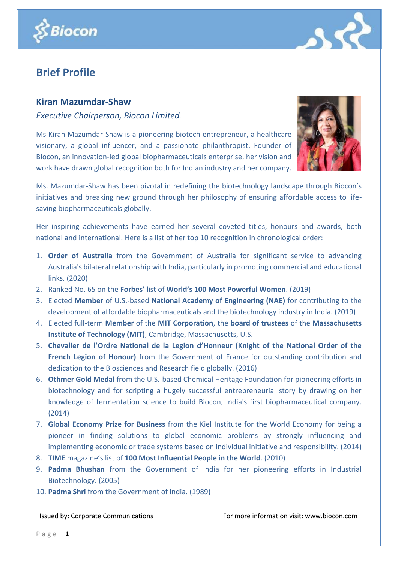



## **Brief Profile**

## **Kiran Mazumdar-Shaw**

*Executive Chairperson, Biocon Limited.*

Ms Kiran Mazumdar-Shaw is a pioneering biotech entrepreneur, a healthcare visionary, a global influencer, and a passionate philanthropist. Founder of Biocon, an innovation-led global biopharmaceuticals enterprise, her vision and work have drawn global recognition both for Indian industry and her company.



Ms. Mazumdar-Shaw has been pivotal in redefining the biotechnology landscape through Biocon's initiatives and breaking new ground through her philosophy of ensuring affordable access to lifesaving biopharmaceuticals globally.

Her inspiring achievements have earned her several coveted titles, honours and awards, both national and international. Here is a list of her top 10 recognition in chronological order:

- 1. **Order of Australia** from the Government of Australia for significant service to advancing Australia's bilateral relationship with India, particularly in promoting commercial and educational links. (2020)
- 2. Ranked No. 65 on the **Forbes'** list of **World's 100 Most Powerful Women**. (2019)
- 3. Elected **Member** of U.S.-based **National Academy of Engineering (NAE)** for contributing to the development of affordable biopharmaceuticals and the biotechnology industry in India. (2019)
- 4. Elected full-term **Member** of the **MIT Corporation**, the **board of trustees** of the **Massachusetts Institute of Technology (MIT)**, Cambridge, Massachusetts, U.S.
- 5. **Chevalier de l'Ordre National de la Legion d'Honneur (Knight of the National Order of the French Legion of Honour)** from the Government of France for outstanding contribution and dedication to the Biosciences and Research field globally. (2016)
- 6. **Othmer Gold Medal** from the U.S.-based Chemical Heritage Foundation for pioneering efforts in biotechnology and for scripting a hugely successful entrepreneurial story by drawing on her knowledge of fermentation science to build Biocon, India's first biopharmaceutical company. (2014)
- 7. **Global Economy Prize for Business** from the Kiel Institute for the World Economy for being a pioneer in finding solutions to global economic problems by strongly influencing and implementing economic or trade systems based on individual initiative and responsibility. (2014)
- 8. **TIME** magazine's list of **100 Most Influential People in the World**. (2010)
- 9. **Padma Bhushan** from the Government of India for her pioneering efforts in Industrial Biotechnology. (2005)
- 10. **Padma Shri** from the Government of India. (1989)